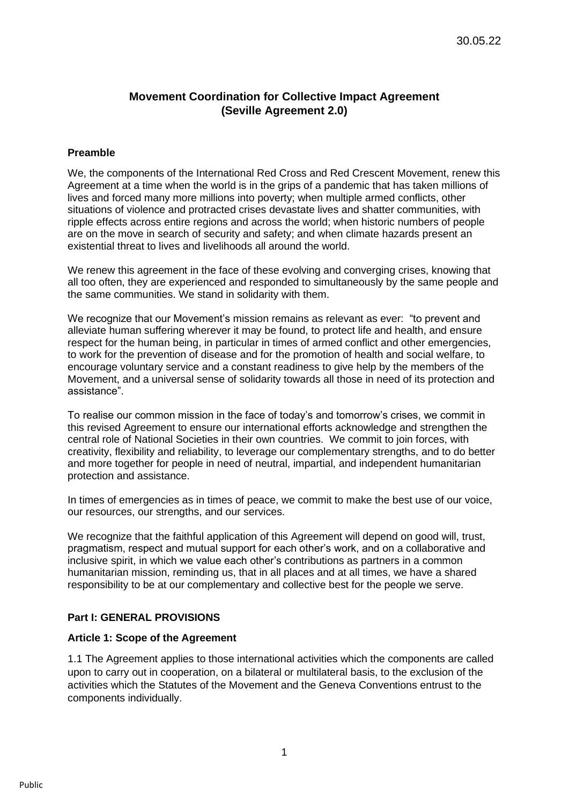# **Movement Coordination for Collective Impact Agreement (Seville Agreement 2.0)**

#### **Preamble**

We, the components of the International Red Cross and Red Crescent Movement, renew this Agreement at a time when the world is in the grips of a pandemic that has taken millions of lives and forced many more millions into poverty; when multiple armed conflicts, other situations of violence and protracted crises devastate lives and shatter communities, with ripple effects across entire regions and across the world; when historic numbers of people are on the move in search of security and safety; and when climate hazards present an existential threat to lives and livelihoods all around the world.

We renew this agreement in the face of these evolving and converging crises, knowing that all too often, they are experienced and responded to simultaneously by the same people and the same communities. We stand in solidarity with them.

We recognize that our Movement's mission remains as relevant as ever: "to prevent and alleviate human suffering wherever it may be found, to protect life and health, and ensure respect for the human being, in particular in times of armed conflict and other emergencies, to work for the prevention of disease and for the promotion of health and social welfare, to encourage voluntary service and a constant readiness to give help by the members of the Movement, and a universal sense of solidarity towards all those in need of its protection and assistance".

To realise our common mission in the face of today's and tomorrow's crises, we commit in this revised Agreement to ensure our international efforts acknowledge and strengthen the central role of National Societies in their own countries. We commit to join forces, with creativity, flexibility and reliability, to leverage our complementary strengths, and to do better and more together for people in need of neutral, impartial, and independent humanitarian protection and assistance.

In times of emergencies as in times of peace, we commit to make the best use of our voice, our resources, our strengths, and our services.

We recognize that the faithful application of this Agreement will depend on good will, trust, pragmatism, respect and mutual support for each other's work, and on a collaborative and inclusive spirit, in which we value each other's contributions as partners in a common humanitarian mission, reminding us, that in all places and at all times, we have a shared responsibility to be at our complementary and collective best for the people we serve.

## **Part I: GENERAL PROVISIONS**

#### **Article 1: Scope of the Agreement**

1.1 The Agreement applies to those international activities which the components are called upon to carry out in cooperation, on a bilateral or multilateral basis, to the exclusion of the activities which the Statutes of the Movement and the Geneva Conventions entrust to the components individually.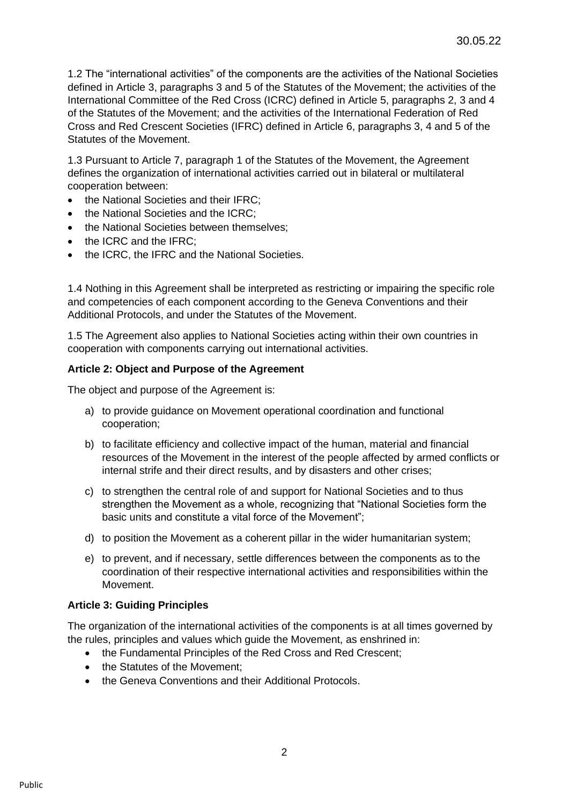1.2 The "international activities" of the components are the activities of the National Societies defined in Article 3, paragraphs 3 and 5 of the Statutes of the Movement; the activities of the International Committee of the Red Cross (ICRC) defined in Article 5, paragraphs 2, 3 and 4 of the Statutes of the Movement; and the activities of the International Federation of Red Cross and Red Crescent Societies (IFRC) defined in Article 6, paragraphs 3, 4 and 5 of the Statutes of the Movement.

1.3 Pursuant to Article 7, paragraph 1 of the Statutes of the Movement, the Agreement defines the organization of international activities carried out in bilateral or multilateral cooperation between:

- the National Societies and their IFRC;
- the National Societies and the ICRC;
- the National Societies between themselves:
- the ICRC and the IFRC;
- the ICRC, the IFRC and the National Societies.

1.4 Nothing in this Agreement shall be interpreted as restricting or impairing the specific role and competencies of each component according to the Geneva Conventions and their Additional Protocols, and under the Statutes of the Movement.

1.5 The Agreement also applies to National Societies acting within their own countries in cooperation with components carrying out international activities.

#### **Article 2: Object and Purpose of the Agreement**

The object and purpose of the Agreement is:

- a) to provide guidance on Movement operational coordination and functional cooperation;
- b) to facilitate efficiency and collective impact of the human, material and financial resources of the Movement in the interest of the people affected by armed conflicts or internal strife and their direct results, and by disasters and other crises;
- c) to strengthen the central role of and support for National Societies and to thus strengthen the Movement as a whole, recognizing that "National Societies form the basic units and constitute a vital force of the Movement";
- d) to position the Movement as a coherent pillar in the wider humanitarian system;
- e) to prevent, and if necessary, settle differences between the components as to the coordination of their respective international activities and responsibilities within the Movement.

#### **Article 3: Guiding Principles**

The organization of the international activities of the components is at all times governed by the rules, principles and values which guide the Movement, as enshrined in:

- the Fundamental Principles of the Red Cross and Red Crescent;
- the Statutes of the Movement:
- the Geneva Conventions and their Additional Protocols.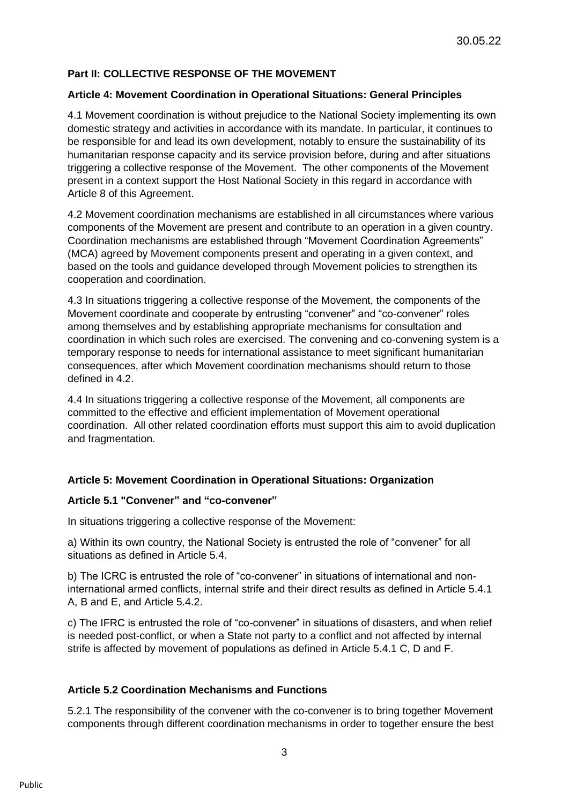## **Part II: COLLECTIVE RESPONSE OF THE MOVEMENT**

## **Article 4: Movement Coordination in Operational Situations: General Principles**

4.1 Movement coordination is without prejudice to the National Society implementing its own domestic strategy and activities in accordance with its mandate. In particular, it continues to be responsible for and lead its own development, notably to ensure the sustainability of its humanitarian response capacity and its service provision before, during and after situations triggering a collective response of the Movement. The other components of the Movement present in a context support the Host National Society in this regard in accordance with Article 8 of this Agreement.

4.2 Movement coordination mechanisms are established in all circumstances where various components of the Movement are present and contribute to an operation in a given country. Coordination mechanisms are established through "Movement Coordination Agreements" (MCA) agreed by Movement components present and operating in a given context, and based on the tools and guidance developed through Movement policies to strengthen its cooperation and coordination.

4.3 In situations triggering a collective response of the Movement, the components of the Movement coordinate and cooperate by entrusting "convener" and "co-convener" roles among themselves and by establishing appropriate mechanisms for consultation and coordination in which such roles are exercised. The convening and co-convening system is a temporary response to needs for international assistance to meet significant humanitarian consequences, after which Movement coordination mechanisms should return to those defined in 4.2.

4.4 In situations triggering a collective response of the Movement, all components are committed to the effective and efficient implementation of Movement operational coordination. All other related coordination efforts must support this aim to avoid duplication and fragmentation.

## **Article 5: Movement Coordination in Operational Situations: Organization**

#### **Article 5.1 "Convener" and "co-convener"**

In situations triggering a collective response of the Movement:

a) Within its own country, the National Society is entrusted the role of "convener" for all situations as defined in Article 5.4.

b) The ICRC is entrusted the role of "co-convener" in situations of international and noninternational armed conflicts, internal strife and their direct results as defined in Article 5.4.1 A, B and E, and Article 5.4.2.

c) The IFRC is entrusted the role of "co-convener" in situations of disasters, and when relief is needed post-conflict, or when a State not party to a conflict and not affected by internal strife is affected by movement of populations as defined in Article 5.4.1 C, D and F.

## **Article 5.2 Coordination Mechanisms and Functions**

5.2.1 The responsibility of the convener with the co-convener is to bring together Movement components through different coordination mechanisms in order to together ensure the best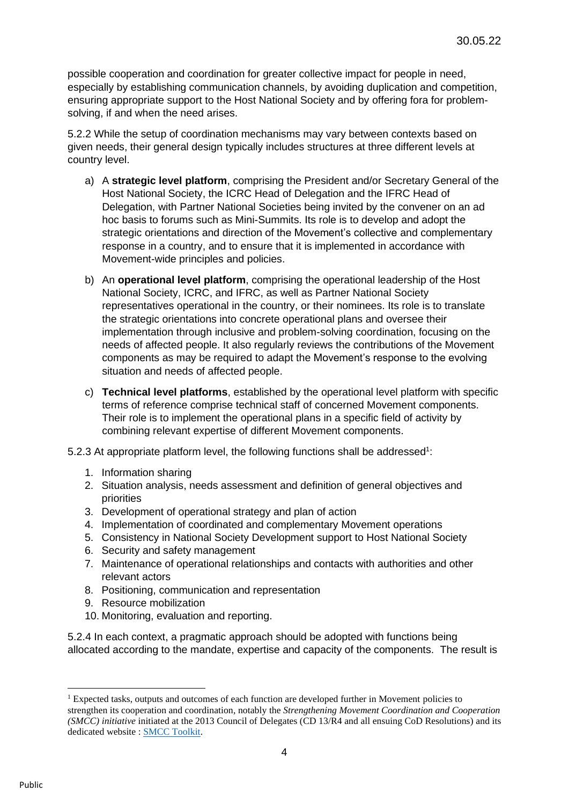possible cooperation and coordination for greater collective impact for people in need, especially by establishing communication channels, by avoiding duplication and competition, ensuring appropriate support to the Host National Society and by offering fora for problemsolving, if and when the need arises.

5.2.2 While the setup of coordination mechanisms may vary between contexts based on given needs, their general design typically includes structures at three different levels at country level.

- a) A **strategic level platform**, comprising the President and/or Secretary General of the Host National Society, the ICRC Head of Delegation and the IFRC Head of Delegation, with Partner National Societies being invited by the convener on an ad hoc basis to forums such as Mini-Summits. Its role is to develop and adopt the strategic orientations and direction of the Movement's collective and complementary response in a country, and to ensure that it is implemented in accordance with Movement-wide principles and policies.
- b) An **operational level platform**, comprising the operational leadership of the Host National Society, ICRC, and IFRC, as well as Partner National Society representatives operational in the country, or their nominees. Its role is to translate the strategic orientations into concrete operational plans and oversee their implementation through inclusive and problem-solving coordination, focusing on the needs of affected people. It also regularly reviews the contributions of the Movement components as may be required to adapt the Movement's response to the evolving situation and needs of affected people.
- c) **Technical level platforms**, established by the operational level platform with specific terms of reference comprise technical staff of concerned Movement components. Their role is to implement the operational plans in a specific field of activity by combining relevant expertise of different Movement components.
- 5.2.3 At appropriate platform level, the following functions shall be addressed<sup>1</sup>:
	- 1. Information sharing
	- 2. Situation analysis, needs assessment and definition of general objectives and priorities
	- 3. Development of operational strategy and plan of action
	- 4. Implementation of coordinated and complementary Movement operations
	- 5. Consistency in National Society Development support to Host National Society
	- 6. Security and safety management
	- 7. Maintenance of operational relationships and contacts with authorities and other relevant actors
	- 8. Positioning, communication and representation
	- 9. Resource mobilization
	- 10. Monitoring, evaluation and reporting.

5.2.4 In each context, a pragmatic approach should be adopted with functions being allocated according to the mandate, expertise and capacity of the components. The result is

<sup>&</sup>lt;sup>1</sup> Expected tasks, outputs and outcomes of each function are developed further in Movement policies to strengthen its cooperation and coordination, notably the *Strengthening Movement Coordination and Cooperation (SMCC) initiative* initiated at the 2013 Council of Delegates (CD 13/R4 and all ensuing CoD Resolutions) and its dedicated website : [SMCC Toolkit.](https://smcctoolkit.org/)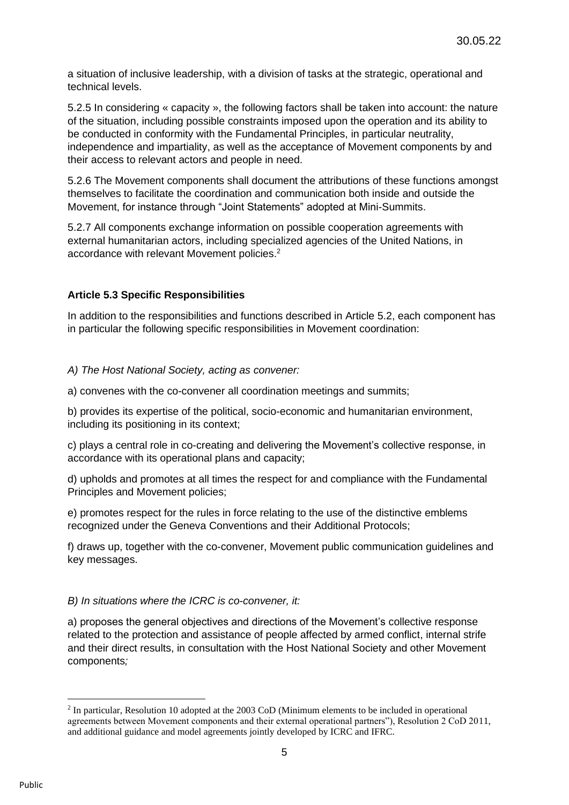a situation of inclusive leadership, with a division of tasks at the strategic, operational and technical levels.

5.2.5 In considering « capacity », the following factors shall be taken into account: the nature of the situation, including possible constraints imposed upon the operation and its ability to be conducted in conformity with the Fundamental Principles, in particular neutrality, independence and impartiality, as well as the acceptance of Movement components by and their access to relevant actors and people in need.

5.2.6 The Movement components shall document the attributions of these functions amongst themselves to facilitate the coordination and communication both inside and outside the Movement, for instance through "Joint Statements" adopted at Mini-Summits.

5.2.7 All components exchange information on possible cooperation agreements with external humanitarian actors, including specialized agencies of the United Nations, in accordance with relevant Movement policies.<sup>2</sup>

### **Article 5.3 Specific Responsibilities**

In addition to the responsibilities and functions described in Article 5.2, each component has in particular the following specific responsibilities in Movement coordination:

#### *A) The Host National Society, acting as convener:*

a) convenes with the co-convener all coordination meetings and summits;

b) provides its expertise of the political, socio-economic and humanitarian environment, including its positioning in its context;

c) plays a central role in co-creating and delivering the Movement's collective response, in accordance with its operational plans and capacity;

d) upholds and promotes at all times the respect for and compliance with the Fundamental Principles and Movement policies;

e) promotes respect for the rules in force relating to the use of the distinctive emblems recognized under the Geneva Conventions and their Additional Protocols;

f) draws up, together with the co-convener, Movement public communication guidelines and key messages.

#### *B) In situations where the ICRC is co-convener, it:*

a) proposes the general objectives and directions of the Movement's collective response related to the protection and assistance of people affected by armed conflict, internal strife and their direct results, in consultation with the Host National Society and other Movement components*;*

<sup>&</sup>lt;sup>2</sup> In particular, Resolution 10 adopted at the 2003 CoD (Minimum elements to be included in operational agreements between Movement components and their external operational partners"), Resolution 2 CoD 2011, and additional guidance and model agreements jointly developed by ICRC and IFRC.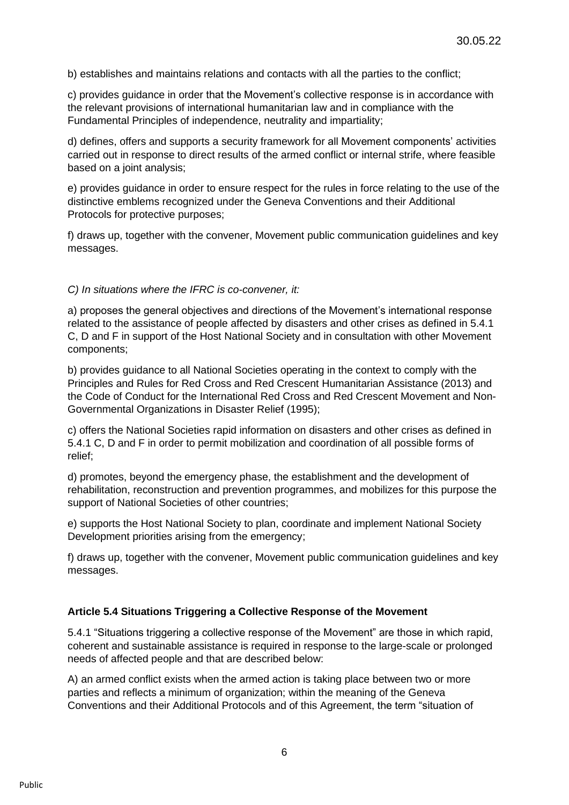b) establishes and maintains relations and contacts with all the parties to the conflict;

c) provides guidance in order that the Movement's collective response is in accordance with the relevant provisions of international humanitarian law and in compliance with the Fundamental Principles of independence, neutrality and impartiality;

d) defines, offers and supports a security framework for all Movement components' activities carried out in response to direct results of the armed conflict or internal strife, where feasible based on a joint analysis;

e) provides guidance in order to ensure respect for the rules in force relating to the use of the distinctive emblems recognized under the Geneva Conventions and their Additional Protocols for protective purposes;

f) draws up, together with the convener, Movement public communication guidelines and key messages.

#### *C) In situations where the IFRC is co-convener, it:*

a) proposes the general objectives and directions of the Movement's international response related to the assistance of people affected by disasters and other crises as defined in 5.4.1 C, D and F in support of the Host National Society and in consultation with other Movement components;

b) provides guidance to all National Societies operating in the context to comply with the Principles and Rules for Red Cross and Red Crescent Humanitarian Assistance (2013) and the Code of Conduct for the International Red Cross and Red Crescent Movement and Non-Governmental Organizations in Disaster Relief (1995);

c) offers the National Societies rapid information on disasters and other crises as defined in 5.4.1 C, D and F in order to permit mobilization and coordination of all possible forms of relief;

d) promotes, beyond the emergency phase, the establishment and the development of rehabilitation, reconstruction and prevention programmes, and mobilizes for this purpose the support of National Societies of other countries;

e) supports the Host National Society to plan, coordinate and implement National Society Development priorities arising from the emergency;

f) draws up, together with the convener, Movement public communication guidelines and key messages.

#### **Article 5.4 Situations Triggering a Collective Response of the Movement**

5.4.1 "Situations triggering a collective response of the Movement" are those in which rapid, coherent and sustainable assistance is required in response to the large-scale or prolonged needs of affected people and that are described below:

A) an armed conflict exists when the armed action is taking place between two or more parties and reflects a minimum of organization; within the meaning of the Geneva Conventions and their Additional Protocols and of this Agreement, the term "situation of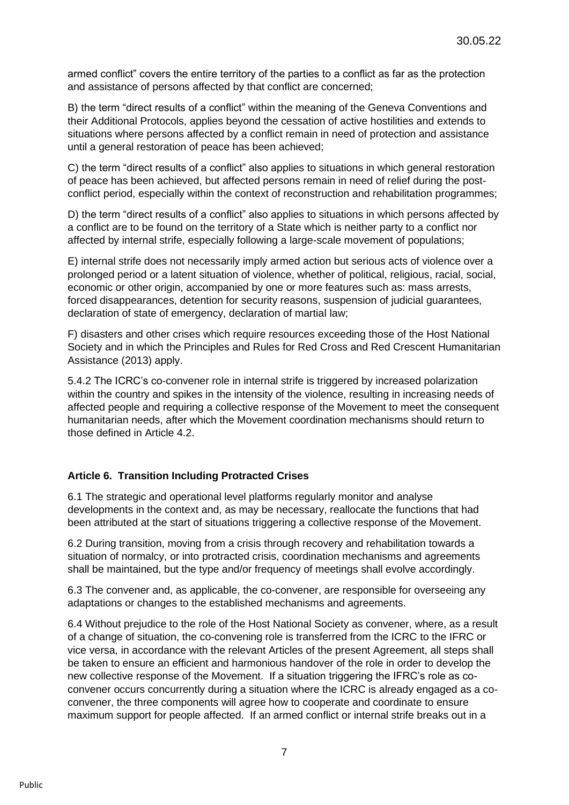armed conflict" covers the entire territory of the parties to a conflict as far as the protection and assistance of persons affected by that conflict are concerned;

B) the term "direct results of a conflict" within the meaning of the Geneva Conventions and their Additional Protocols, applies beyond the cessation of active hostilities and extends to situations where persons affected by a conflict remain in need of protection and assistance until a general restoration of peace has been achieved;

C) the term "direct results of a conflict" also applies to situations in which general restoration of peace has been achieved, but affected persons remain in need of relief during the postconflict period, especially within the context of reconstruction and rehabilitation programmes;

D) the term "direct results of a conflict" also applies to situations in which persons affected by a conflict are to be found on the territory of a State which is neither party to a conflict nor affected by internal strife, especially following a large-scale movement of populations;

E) internal strife does not necessarily imply armed action but serious acts of violence over a prolonged period or a latent situation of violence, whether of political, religious, racial, social, economic or other origin, accompanied by one or more features such as: mass arrests, forced disappearances, detention for security reasons, suspension of judicial guarantees, declaration of state of emergency, declaration of martial law;

F) disasters and other crises which require resources exceeding those of the Host National Society and in which the Principles and Rules for Red Cross and Red Crescent Humanitarian Assistance (2013) apply.

5.4.2 The ICRC's co-convener role in internal strife is triggered by increased polarization within the country and spikes in the intensity of the violence, resulting in increasing needs of affected people and requiring a collective response of the Movement to meet the consequent humanitarian needs, after which the Movement coordination mechanisms should return to those defined in Article 4.2.

## **Article 6. Transition Including Protracted Crises**

6.1 The strategic and operational level platforms regularly monitor and analyse developments in the context and, as may be necessary, reallocate the functions that had been attributed at the start of situations triggering a collective response of the Movement.

6.2 During transition, moving from a crisis through recovery and rehabilitation towards a situation of normalcy, or into protracted crisis, coordination mechanisms and agreements shall be maintained, but the type and/or frequency of meetings shall evolve accordingly.

6.3 The convener and, as applicable, the co-convener, are responsible for overseeing any adaptations or changes to the established mechanisms and agreements.

6.4 Without prejudice to the role of the Host National Society as convener, where, as a result of a change of situation, the co-convening role is transferred from the ICRC to the IFRC or vice versa, in accordance with the relevant Articles of the present Agreement, all steps shall be taken to ensure an efficient and harmonious handover of the role in order to develop the new collective response of the Movement. If a situation triggering the IFRC's role as coconvener occurs concurrently during a situation where the ICRC is already engaged as a coconvener, the three components will agree how to cooperate and coordinate to ensure maximum support for people affected. If an armed conflict or internal strife breaks out in a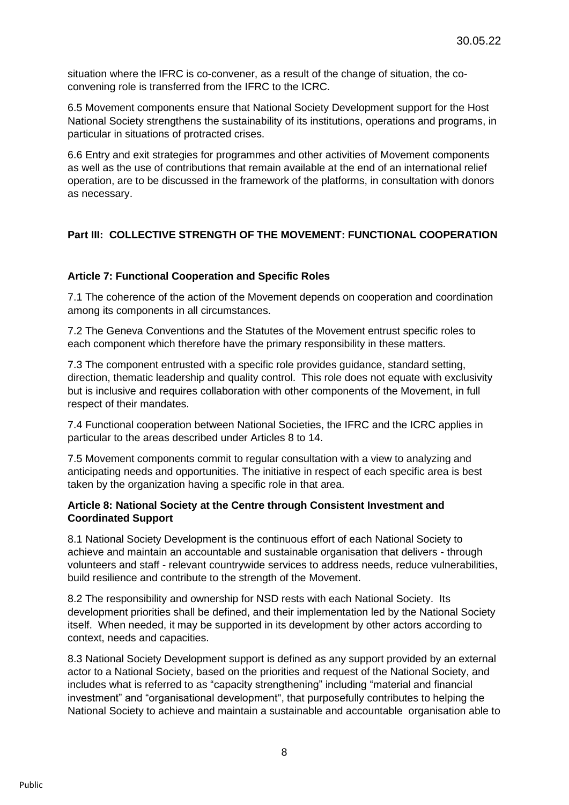situation where the IFRC is co-convener, as a result of the change of situation, the coconvening role is transferred from the IFRC to the ICRC.

6.5 Movement components ensure that National Society Development support for the Host National Society strengthens the sustainability of its institutions, operations and programs, in particular in situations of protracted crises.

6.6 Entry and exit strategies for programmes and other activities of Movement components as well as the use of contributions that remain available at the end of an international relief operation, are to be discussed in the framework of the platforms, in consultation with donors as necessary.

# **Part III: COLLECTIVE STRENGTH OF THE MOVEMENT: FUNCTIONAL COOPERATION**

### **Article 7: Functional Cooperation and Specific Roles**

7.1 The coherence of the action of the Movement depends on cooperation and coordination among its components in all circumstances.

7.2 The Geneva Conventions and the Statutes of the Movement entrust specific roles to each component which therefore have the primary responsibility in these matters.

7.3 The component entrusted with a specific role provides guidance, standard setting, direction, thematic leadership and quality control. This role does not equate with exclusivity but is inclusive and requires collaboration with other components of the Movement, in full respect of their mandates.

7.4 Functional cooperation between National Societies, the IFRC and the ICRC applies in particular to the areas described under Articles 8 to 14.

7.5 Movement components commit to regular consultation with a view to analyzing and anticipating needs and opportunities. The initiative in respect of each specific area is best taken by the organization having a specific role in that area.

### **Article 8: National Society at the Centre through Consistent Investment and Coordinated Support**

8.1 National Society Development is the continuous effort of each National Society to achieve and maintain an accountable and sustainable organisation that delivers - through volunteers and staff - relevant countrywide services to address needs, reduce vulnerabilities, build resilience and contribute to the strength of the Movement.

8.2 The responsibility and ownership for NSD rests with each National Society. Its development priorities shall be defined, and their implementation led by the National Society itself. When needed, it may be supported in its development by other actors according to context, needs and capacities.

8.3 National Society Development support is defined as any support provided by an external actor to a National Society, based on the priorities and request of the National Society, and includes what is referred to as "capacity strengthening" including "material and financial investment" and "organisational development", that purposefully contributes to helping the National Society to achieve and maintain a sustainable and accountable organisation able to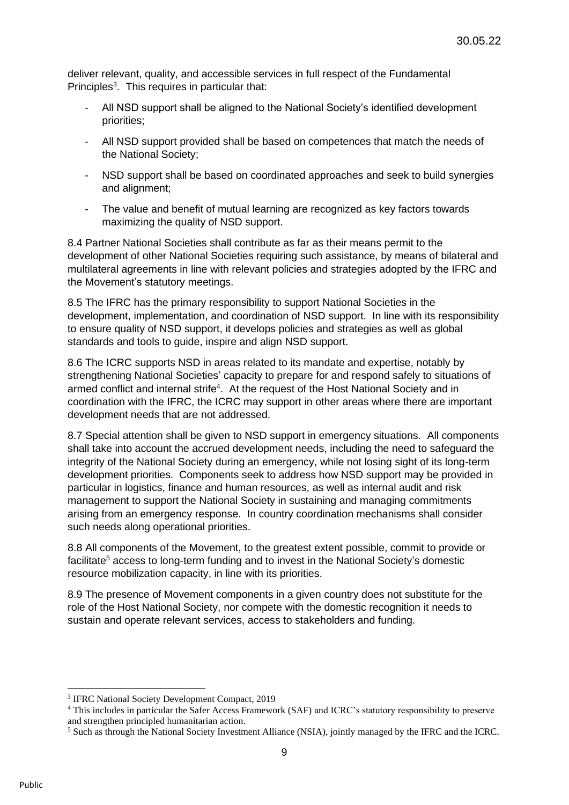deliver relevant, quality, and accessible services in full respect of the Fundamental Principles<sup>3</sup>. This requires in particular that:

- All NSD support shall be aligned to the National Society's identified development priorities;
- All NSD support provided shall be based on competences that match the needs of the National Society;
- NSD support shall be based on coordinated approaches and seek to build synergies and alignment;
- The value and benefit of mutual learning are recognized as key factors towards maximizing the quality of NSD support.

8.4 Partner National Societies shall contribute as far as their means permit to the development of other National Societies requiring such assistance, by means of bilateral and multilateral agreements in line with relevant policies and strategies adopted by the IFRC and the Movement's statutory meetings.

8.5 The IFRC has the primary responsibility to support National Societies in the development, implementation, and coordination of NSD support. In line with its responsibility to ensure quality of NSD support, it develops policies and strategies as well as global standards and tools to guide, inspire and align NSD support.

8.6 The ICRC supports NSD in areas related to its mandate and expertise, notably by strengthening National Societies' capacity to prepare for and respond safely to situations of armed conflict and internal strife<sup>4</sup>. At the request of the Host National Society and in coordination with the IFRC, the ICRC may support in other areas where there are important development needs that are not addressed.

8.7 Special attention shall be given to NSD support in emergency situations. All components shall take into account the accrued development needs, including the need to safeguard the integrity of the National Society during an emergency, while not losing sight of its long-term development priorities. Components seek to address how NSD support may be provided in particular in logistics, finance and human resources, as well as internal audit and risk management to support the National Society in sustaining and managing commitments arising from an emergency response. In country coordination mechanisms shall consider such needs along operational priorities.

8.8 All components of the Movement, to the greatest extent possible, commit to provide or facilitate<sup>5</sup> access to long-term funding and to invest in the National Society's domestic resource mobilization capacity, in line with its priorities.

8.9 The presence of Movement components in a given country does not substitute for the role of the Host National Society, nor compete with the domestic recognition it needs to sustain and operate relevant services, access to stakeholders and funding.

<sup>&</sup>lt;sup>3</sup> IFRC National Society Development Compact, 2019

<sup>4</sup> This includes in particular the Safer Access Framework (SAF) and ICRC's statutory responsibility to preserve and strengthen principled humanitarian action.

<sup>5</sup> Such as through the National Society Investment Alliance (NSIA), jointly managed by the IFRC and the ICRC.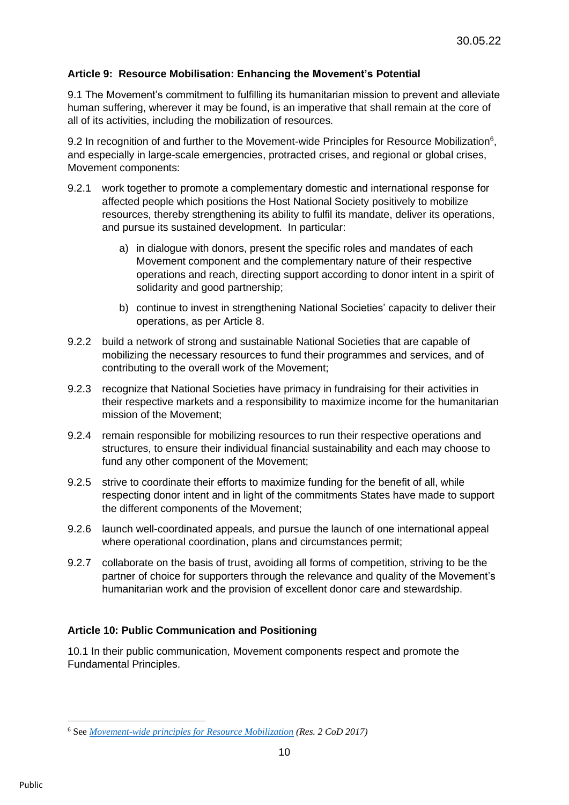## **Article 9: Resource Mobilisation: Enhancing the Movement's Potential**

9.1 The Movement's commitment to fulfilling its humanitarian mission to prevent and alleviate human suffering, wherever it may be found, is an imperative that shall remain at the core of all of its activities, including the mobilization of resources*.* 

9.2 In recognition of and further to the Movement-wide Principles for Resource Mobilization<sup>6</sup>, and especially in large-scale emergencies, protracted crises, and regional or global crises, Movement components:

- 9.2.1 work together to promote a complementary domestic and international response for affected people which positions the Host National Society positively to mobilize resources, thereby strengthening its ability to fulfil its mandate, deliver its operations, and pursue its sustained development. In particular:
	- a) in dialogue with donors, present the specific roles and mandates of each Movement component and the complementary nature of their respective operations and reach, directing support according to donor intent in a spirit of solidarity and good partnership;
	- b) continue to invest in strengthening National Societies' capacity to deliver their operations, as per Article 8.
- 9.2.2 build a network of strong and sustainable National Societies that are capable of mobilizing the necessary resources to fund their programmes and services, and of contributing to the overall work of the Movement;
- 9.2.3 recognize that National Societies have primacy in fundraising for their activities in their respective markets and a responsibility to maximize income for the humanitarian mission of the Movement;
- 9.2.4 remain responsible for mobilizing resources to run their respective operations and structures, to ensure their individual financial sustainability and each may choose to fund any other component of the Movement;
- 9.2.5 strive to coordinate their efforts to maximize funding for the benefit of all, while respecting donor intent and in light of the commitments States have made to support the different components of the Movement;
- 9.2.6 launch well-coordinated appeals, and pursue the launch of one international appeal where operational coordination, plans and circumstances permit;
- 9.2.7 collaborate on the basis of trust, avoiding all forms of competition, striving to be the partner of choice for supporters through the relevance and quality of the Movement's humanitarian work and the provision of excellent donor care and stewardship.

## **Article 10: Public Communication and Positioning**

10.1 In their public communication, Movement components respect and promote the Fundamental Principles.

<sup>6</sup> See *[Movement-wide principles for Resource Mobilization](https://rcrcconference.org/app/uploads/2017/08/CD-17-R2_clean.pdf) (Res. 2 CoD 2017)*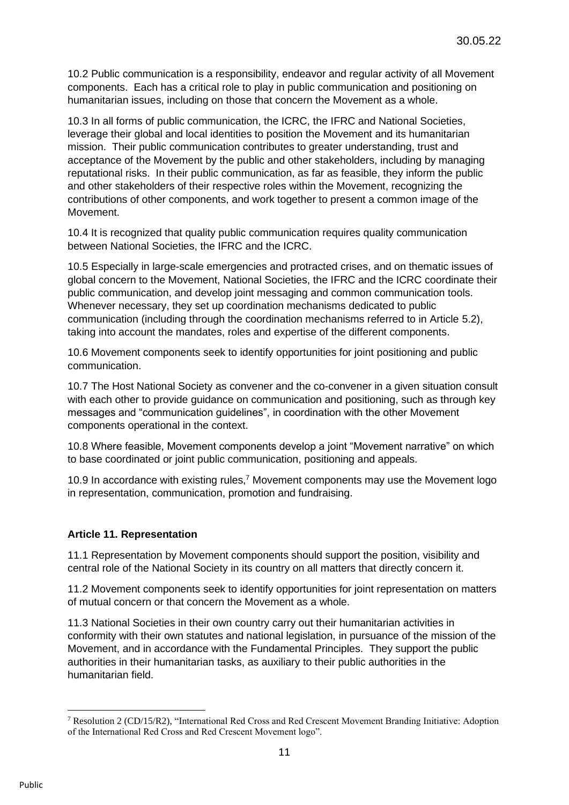10.2 Public communication is a responsibility, endeavor and regular activity of all Movement components. Each has a critical role to play in public communication and positioning on humanitarian issues, including on those that concern the Movement as a whole.

10.3 In all forms of public communication, the ICRC, the IFRC and National Societies, leverage their global and local identities to position the Movement and its humanitarian mission. Their public communication contributes to greater understanding, trust and acceptance of the Movement by the public and other stakeholders, including by managing reputational risks. In their public communication, as far as feasible, they inform the public and other stakeholders of their respective roles within the Movement, recognizing the contributions of other components, and work together to present a common image of the Movement.

10.4 It is recognized that quality public communication requires quality communication between National Societies, the IFRC and the ICRC.

10.5 Especially in large-scale emergencies and protracted crises, and on thematic issues of global concern to the Movement, National Societies, the IFRC and the ICRC coordinate their public communication, and develop joint messaging and common communication tools. Whenever necessary, they set up coordination mechanisms dedicated to public communication (including through the coordination mechanisms referred to in Article 5.2), taking into account the mandates, roles and expertise of the different components.

10.6 Movement components seek to identify opportunities for joint positioning and public communication.

10.7 The Host National Society as convener and the co-convener in a given situation consult with each other to provide guidance on communication and positioning, such as through key messages and "communication guidelines", in coordination with the other Movement components operational in the context.

10.8 Where feasible, Movement components develop a joint "Movement narrative" on which to base coordinated or joint public communication, positioning and appeals.

10.9 In accordance with existing rules,<sup>7</sup> Movement components may use the Movement logo in representation, communication, promotion and fundraising.

## **Article 11. Representation**

11.1 Representation by Movement components should support the position, visibility and central role of the National Society in its country on all matters that directly concern it.

11.2 Movement components seek to identify opportunities for joint representation on matters of mutual concern or that concern the Movement as a whole.

11.3 National Societies in their own country carry out their humanitarian activities in conformity with their own statutes and national legislation, in pursuance of the mission of the Movement, and in accordance with the Fundamental Principles. They support the public authorities in their humanitarian tasks, as auxiliary to their public authorities in the humanitarian field.

<sup>7</sup> Resolution 2 (CD/15/R2), "International Red Cross and Red Crescent Movement Branding Initiative: Adoption of the International Red Cross and Red Crescent Movement logo".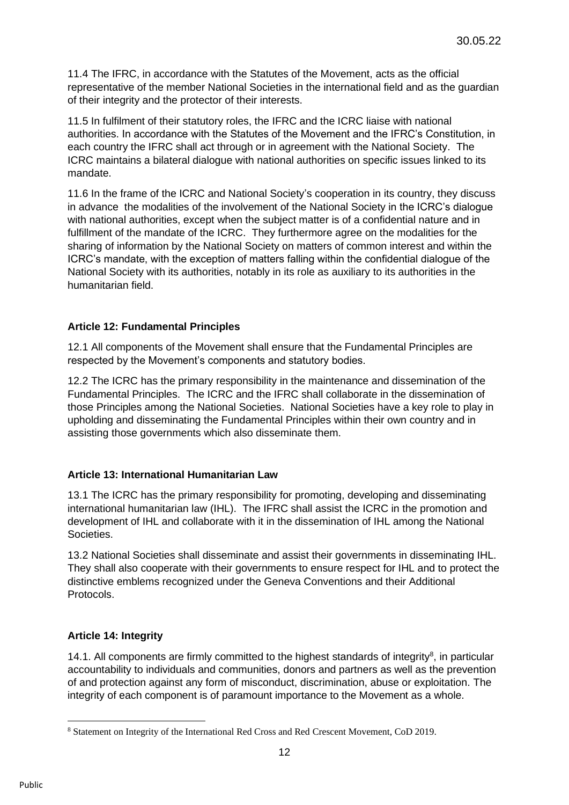11.4 The IFRC, in accordance with the Statutes of the Movement, acts as the official representative of the member National Societies in the international field and as the guardian of their integrity and the protector of their interests.

11.5 In fulfilment of their statutory roles, the IFRC and the ICRC liaise with national authorities. In accordance with the Statutes of the Movement and the IFRC's Constitution, in each country the IFRC shall act through or in agreement with the National Society. The ICRC maintains a bilateral dialogue with national authorities on specific issues linked to its mandate.

11.6 In the frame of the ICRC and National Society's cooperation in its country, they discuss in advance the modalities of the involvement of the National Society in the ICRC's dialogue with national authorities, except when the subject matter is of a confidential nature and in fulfillment of the mandate of the ICRC. They furthermore agree on the modalities for the sharing of information by the National Society on matters of common interest and within the ICRC's mandate, with the exception of matters falling within the confidential dialogue of the National Society with its authorities, notably in its role as auxiliary to its authorities in the humanitarian field.

## **Article 12: Fundamental Principles**

12.1 All components of the Movement shall ensure that the Fundamental Principles are respected by the Movement's components and statutory bodies.

12.2 The ICRC has the primary responsibility in the maintenance and dissemination of the Fundamental Principles. The ICRC and the IFRC shall collaborate in the dissemination of those Principles among the National Societies. National Societies have a key role to play in upholding and disseminating the Fundamental Principles within their own country and in assisting those governments which also disseminate them.

## **Article 13: International Humanitarian Law**

13.1 The ICRC has the primary responsibility for promoting, developing and disseminating international humanitarian law (IHL). The IFRC shall assist the ICRC in the promotion and development of IHL and collaborate with it in the dissemination of IHL among the National Societies.

13.2 National Societies shall disseminate and assist their governments in disseminating IHL. They shall also cooperate with their governments to ensure respect for IHL and to protect the distinctive emblems recognized under the Geneva Conventions and their Additional Protocols.

## **Article 14: Integrity**

14.1. All components are firmly committed to the highest standards of integrity<sup>8</sup>, in particular accountability to individuals and communities, donors and partners as well as the prevention of and protection against any form of misconduct, discrimination, abuse or exploitation. The integrity of each component is of paramount importance to the Movement as a whole.

<sup>8</sup> Statement on Integrity of the International Red Cross and Red Crescent Movement, CoD 2019.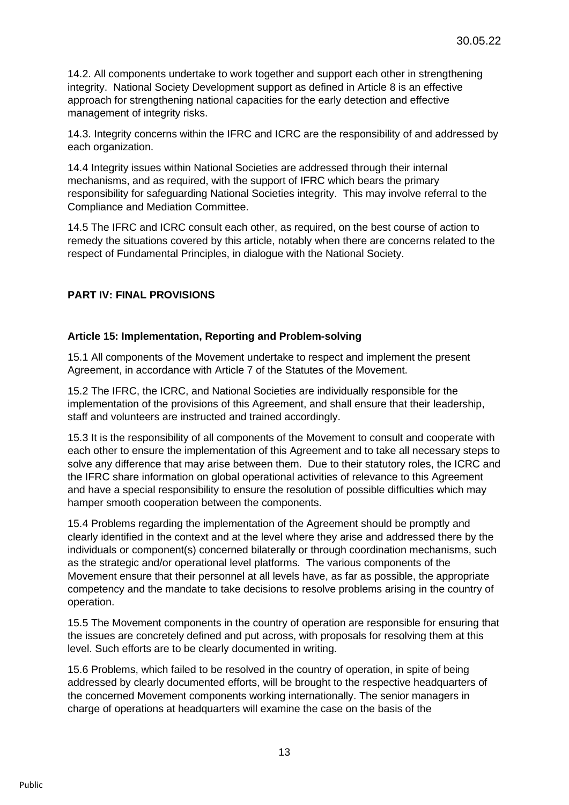14.2. All components undertake to work together and support each other in strengthening integrity. National Society Development support as defined in Article 8 is an effective approach for strengthening national capacities for the early detection and effective management of integrity risks.

14.3. Integrity concerns within the IFRC and ICRC are the responsibility of and addressed by each organization.

14.4 Integrity issues within National Societies are addressed through their internal mechanisms, and as required, with the support of IFRC which bears the primary responsibility for safeguarding National Societies integrity. This may involve referral to the Compliance and Mediation Committee.

14.5 The IFRC and ICRC consult each other, as required, on the best course of action to remedy the situations covered by this article, notably when there are concerns related to the respect of Fundamental Principles, in dialogue with the National Society.

## **PART IV: FINAL PROVISIONS**

### **Article 15: Implementation, Reporting and Problem-solving**

15.1 All components of the Movement undertake to respect and implement the present Agreement, in accordance with Article 7 of the Statutes of the Movement.

15.2 The IFRC, the ICRC, and National Societies are individually responsible for the implementation of the provisions of this Agreement, and shall ensure that their leadership, staff and volunteers are instructed and trained accordingly.

15.3 It is the responsibility of all components of the Movement to consult and cooperate with each other to ensure the implementation of this Agreement and to take all necessary steps to solve any difference that may arise between them. Due to their statutory roles, the ICRC and the IFRC share information on global operational activities of relevance to this Agreement and have a special responsibility to ensure the resolution of possible difficulties which may hamper smooth cooperation between the components.

15.4 Problems regarding the implementation of the Agreement should be promptly and clearly identified in the context and at the level where they arise and addressed there by the individuals or component(s) concerned bilaterally or through coordination mechanisms, such as the strategic and/or operational level platforms. The various components of the Movement ensure that their personnel at all levels have, as far as possible, the appropriate competency and the mandate to take decisions to resolve problems arising in the country of operation.

15.5 The Movement components in the country of operation are responsible for ensuring that the issues are concretely defined and put across, with proposals for resolving them at this level. Such efforts are to be clearly documented in writing.

15.6 Problems, which failed to be resolved in the country of operation, in spite of being addressed by clearly documented efforts, will be brought to the respective headquarters of the concerned Movement components working internationally. The senior managers in charge of operations at headquarters will examine the case on the basis of the